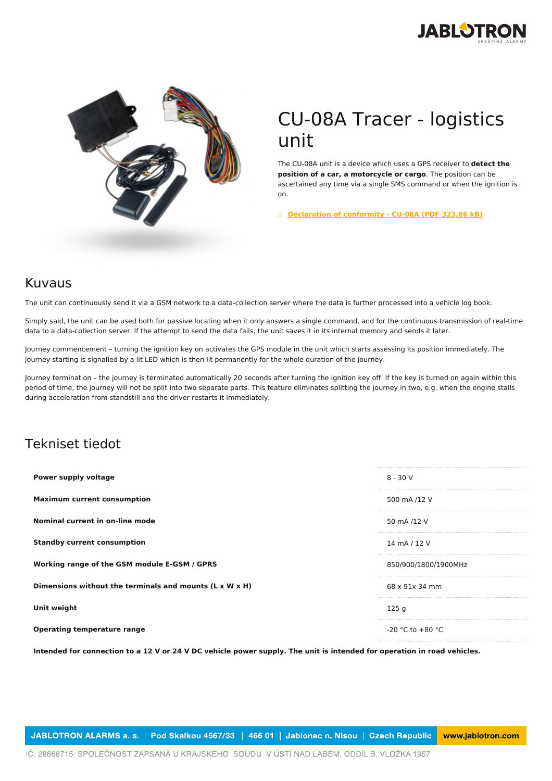



## CU-08A Tracer - logistics unit

The CU-08A unit is a device which uses a GPS receiver to **detect the position of a car, a motorcycle or cargo**. The position can be ascertained any time via a single SMS command or when the ignition is on.

○ **[Declaration](https://www.jablotron.com/fi/template/product/1505/?file=0&jt_id=23455&hash=e5KerE&do=downloadCertificate) of conformity - CU-08A (PDF 323,86 kB)**

## Kuvaus

The unit can continuously send it via a GSM network to a data-collection server where the data is further processed into a vehicle log book.

Simply said, the unit can be used both for passive locating when it only answers a single command, and for the continuous transmission of real-time data to a data-collection server. If the attempt to send the data fails, the unit saves it in its internal memory and sends it later.

Journey commencement – turning the ignition key on activates the GPS module in the unit which starts assessing its position immediately. The journey starting is signalled by a lit LED which is then lit permanently for the whole duration of the journey.

Journey termination – the journey is terminated automatically 20 seconds after turning the ignition key off. If the key is turned on again within this period of time, the journey will not be split into two separate parts. This feature eliminates splitting the journey in two, e.g. when the engine stalls during acceleration from standstill and the driver restarts it immediately.

## Tekniset tiedot

| Power supply voltage                                                  | $8 - 30V$            |
|-----------------------------------------------------------------------|----------------------|
| <b>Maximum current consumption</b>                                    | 500 mA /12 V         |
| Nominal current in on-line mode                                       | 50 mA /12 V          |
| <b>Standby current consumption</b>                                    | 14 mA / 12 V         |
| Working range of the GSM module E-GSM / GPRS                          | 850/900/1800/1900MHz |
| Dimensions without the terminals and mounts ( $L \times W \times H$ ) | 68 x 91x 34 mm       |
| Unit weight                                                           | 125q                 |
| <b>Operating temperature range</b>                                    | $-20$ °C to $+80$ °C |

Intended for connection to a 12 V or 24 V DC vehicle power supply. The unit is intended for operation in road vehicles.

JABLOTRON ALARMS a. s. | Pod Skalkou 4567/33 | 466 01 | Jablonec n. Nisou | Czech Republic www.jablotron.com